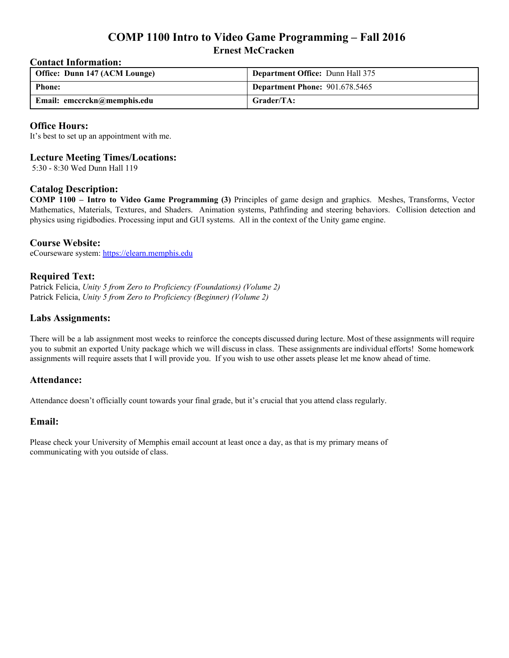# **COMP 1100 Intro to Video Game Programming – Fall 2016 Ernest McCracken**

### **Contact Information:**

| Office: Dunn 147 (ACM Lounge) | <b>Department Office: Dunn Hall 375</b> |
|-------------------------------|-----------------------------------------|
| <b>Phone:</b>                 | <b>Department Phone: 901.678.5465</b>   |
| Email: emccrckn@memphis.edu   | Grader/TA:                              |

### **Office Hours:**

It's best to set up an appointment with me.

# **Lecture Meeting Times/Locations:**

5:30 8:30 Wed Dunn Hall 119

## **Catalog Description:**

**COMP 1100 – Intro to Video Game Programming (3)** Principles of game design and graphics. Meshes, Transforms, Vector Mathematics, Materials, Textures, and Shaders. Animation systems, Pathfinding and steering behaviors. Collision detection and physics using rigidbodies. Processing input and GUI systems. All in the context of the Unity game engine.

## **Course Website:**

eCourseware system: [https://elearn.memphis.edu](https://elearn.memphis.edu/)

## **Required Text:**

Patrick Felicia, *Unity 5 from Zero to Proficiency (Foundations) (Volume 2)* Patrick Felicia, *Unity 5 from Zero to Proficiency (Beginner) (Volume 2)*

## **Labs Assignments:**

There will be a lab assignment most weeks to reinforce the concepts discussed during lecture. Most of these assignments will require you to submit an exported Unity package which we will discuss in class. These assignments are individual efforts! Some homework assignments will require assets that I will provide you. If you wish to use other assets please let me know ahead of time.

#### **Attendance:**

Attendance doesn't officially count towards your final grade, but it's crucial that you attend class regularly.

#### **Email:**

Please check your University of Memphis email account at least once a day, as that is my primary means of communicating with you outside of class.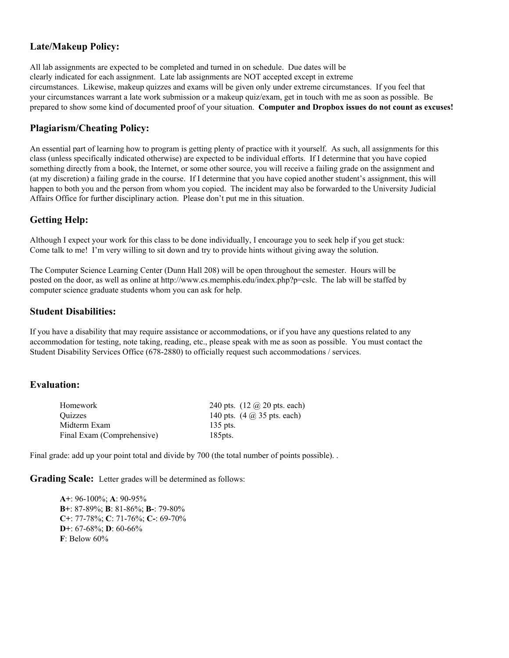# **Late/Makeup Policy:**

All lab assignments are expected to be completed and turned in on schedule. Due dates will be clearly indicated for each assignment. Late lab assignments are NOT accepted except in extreme circumstances. Likewise, makeup quizzes and exams will be given only under extreme circumstances. If you feel that your circumstances warrant a late work submission or a makeup quiz/exam, get in touch with me as soon as possible. Be prepared to show some kind of documented proof of your situation. **Computer and Dropbox issues do not count as excuses!**

# **Plagiarism/Cheating Policy:**

An essential part of learning how to program is getting plenty of practice with it yourself. As such, all assignments for this class (unless specifically indicated otherwise) are expected to be individual efforts. If I determine that you have copied something directly from a book, the Internet, or some other source, you will receive a failing grade on the assignment and (at my discretion) a failing grade in the course. If I determine that you have copied another student's assignment, this will happen to both you and the person from whom you copied. The incident may also be forwarded to the University Judicial Affairs Office for further disciplinary action. Please don't put me in this situation.

# **Getting Help:**

Although I expect your work for this class to be done individually, I encourage you to seek help if you get stuck: Come talk to me! I'm very willing to sit down and try to provide hints without giving away the solution.

The Computer Science Learning Center (Dunn Hall 208) will be open throughout the semester. Hours will be posted on the door, as well as online at http://www.cs.memphis.edu/index.php?p=cslc. The lab will be staffed by computer science graduate students whom you can ask for help.

## **Student Disabilities:**

If you have a disability that may require assistance or accommodations, or if you have any questions related to any accommodation for testing, note taking, reading, etc., please speak with me as soon as possible. You must contact the Student Disability Services Office (678-2880) to officially request such accommodations / services.

#### **Evaluation:**

| Homework                   | 240 pts. $(12 \omega)$ 20 pts. each)                                 |
|----------------------------|----------------------------------------------------------------------|
| Ouizzes                    | 140 pts. $(4 \text{ } \textcircled{a} 35 \text{ } \text{pts.}$ each) |
| Midterm Exam               | 135 pts.                                                             |
| Final Exam (Comprehensive) | 185 <sub>pts</sub>                                                   |

Final grade: add up your point total and divide by 700 (the total number of points possible). .

**Grading Scale:** Letter grades will be determined as follows:

**A**+: 96-100%; **A**: 90-95% **B**+: 87-89%; **B**: 81-86%; **B-**: 79-80% **C**+: 77-78%; **C**: 71-76%; **C**-: 69-70% **D**+:  $67-68\%$ ; **D**:  $60-66\%$ **F**: Below 60%